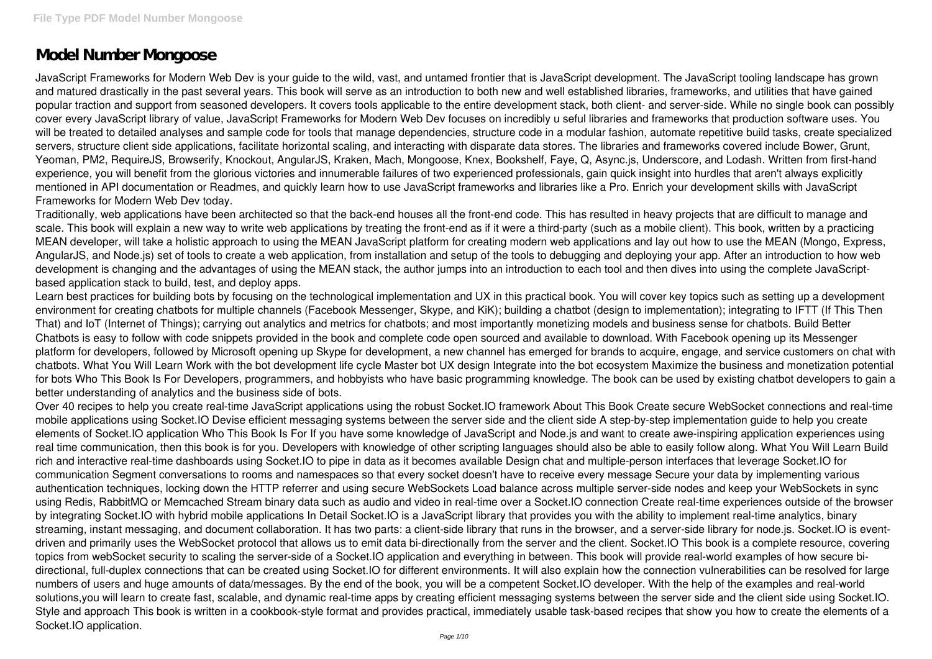# **Model Number Mongoose**

JavaScript Frameworks for Modern Web Dev is your guide to the wild, vast, and untamed frontier that is JavaScript development. The JavaScript tooling landscape has grown and matured drastically in the past several years. This book will serve as an introduction to both new and well established libraries, frameworks, and utilities that have gained popular traction and support from seasoned developers. It covers tools applicable to the entire development stack, both client- and server-side. While no single book can possibly cover every JavaScript library of value, JavaScript Frameworks for Modern Web Dev focuses on incredibly u seful libraries and frameworks that production software uses. You will be treated to detailed analyses and sample code for tools that manage dependencies, structure code in a modular fashion, automate repetitive build tasks, create specialized servers, structure client side applications, facilitate horizontal scaling, and interacting with disparate data stores. The libraries and frameworks covered include Bower, Grunt, Yeoman, PM2, RequireJS, Browserify, Knockout, AngularJS, Kraken, Mach, Mongoose, Knex, Bookshelf, Faye, Q, Async.js, Underscore, and Lodash. Written from first-hand experience, you will benefit from the glorious victories and innumerable failures of two experienced professionals, gain quick insight into hurdles that aren't always explicitly mentioned in API documentation or Readmes, and quickly learn how to use JavaScript frameworks and libraries like a Pro. Enrich your development skills with JavaScript Frameworks for Modern Web Dev today.

Traditionally, web applications have been architected so that the back-end houses all the front-end code. This has resulted in heavy projects that are difficult to manage and scale. This book will explain a new way to write web applications by treating the front-end as if it were a third-party (such as a mobile client). This book, written by a practicing MEAN developer, will take a holistic approach to using the MEAN JavaScript platform for creating modern web applications and lay out how to use the MEAN (Mongo, Express, AngularJS, and Node.js) set of tools to create a web application, from installation and setup of the tools to debugging and deploying your app. After an introduction to how web development is changing and the advantages of using the MEAN stack, the author jumps into an introduction to each tool and then dives into using the complete JavaScriptbased application stack to build, test, and deploy apps.

Learn best practices for building bots by focusing on the technological implementation and UX in this practical book. You will cover key topics such as setting up a development environment for creating chatbots for multiple channels (Facebook Messenger, Skype, and KiK); building a chatbot (design to implementation); integrating to IFTT (If This Then That) and IoT (Internet of Things); carrying out analytics and metrics for chatbots; and most importantly monetizing models and business sense for chatbots. Build Better Chatbots is easy to follow with code snippets provided in the book and complete code open sourced and available to download. With Facebook opening up its Messenger platform for developers, followed by Microsoft opening up Skype for development, a new channel has emerged for brands to acquire, engage, and service customers on chat with chatbots. What You Will Learn Work with the bot development life cycle Master bot UX design Integrate into the bot ecosystem Maximize the business and monetization potential for bots Who This Book Is For Developers, programmers, and hobbyists who have basic programming knowledge. The book can be used by existing chatbot developers to gain a better understanding of analytics and the business side of bots.

Over 40 recipes to help you create real-time JavaScript applications using the robust Socket.IO framework About This Book Create secure WebSocket connections and real-time mobile applications using Socket.IO Devise efficient messaging systems between the server side and the client side A step-by-step implementation guide to help you create elements of Socket.IO application Who This Book Is For If you have some knowledge of JavaScript and Node.js and want to create awe-inspiring application experiences using real time communication, then this book is for you. Developers with knowledge of other scripting languages should also be able to easily follow along. What You Will Learn Build rich and interactive real-time dashboards using Socket.IO to pipe in data as it becomes available Design chat and multiple-person interfaces that leverage Socket.IO for communication Segment conversations to rooms and namespaces so that every socket doesn't have to receive every message Secure your data by implementing various authentication techniques, locking down the HTTP referrer and using secure WebSockets Load balance across multiple server-side nodes and keep your WebSockets in sync using Redis, RabbitMQ or Memcached Stream binary data such as audio and video in real-time over a Socket.IO connection Create real-time experiences outside of the browser by integrating Socket.IO with hybrid mobile applications In Detail Socket.IO is a JavaScript library that provides you with the ability to implement real-time analytics, binary streaming, instant messaging, and document collaboration. It has two parts: a client-side library that runs in the browser, and a server-side library for node.js. Socket.IO is eventdriven and primarily uses the WebSocket protocol that allows us to emit data bi-directionally from the server and the client. Socket.IO This book is a complete resource, covering topics from webSocket security to scaling the server-side of a Socket.IO application and everything in between. This book will provide real-world examples of how secure bidirectional, full-duplex connections that can be created using Socket.IO for different environments. It will also explain how the connection vulnerabilities can be resolved for large numbers of users and huge amounts of data/messages. By the end of the book, you will be a competent Socket.IO developer. With the help of the examples and real-world solutions, you will learn to create fast, scalable, and dynamic real-time apps by creating efficient messaging systems between the server side and the client side using Socket. IO. Style and approach This book is written in a cookbook-style format and provides practical, immediately usable task-based recipes that show you how to create the elements of a Socket.IO application.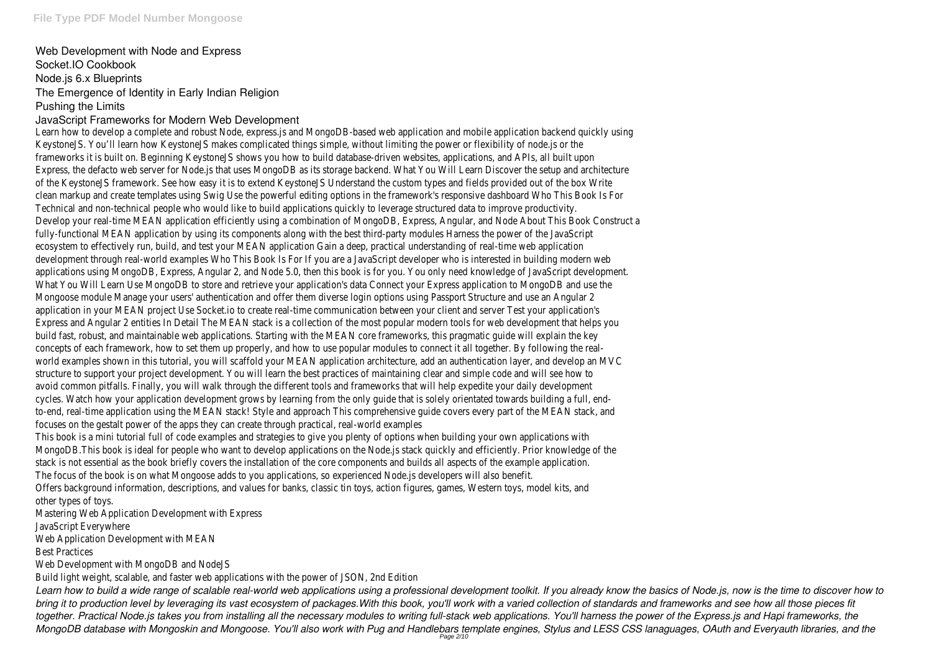# Web Development with Node and Express Socket.IO Cookbook Node.js 6.x Blueprints The Emergence of Identity in Early Indian Religion Pushing the Limits

#### JavaScript Frameworks for Modern Web Development

Learn how to develop a complete and robust Node, express.js and MongoDB-based web application and mobile application backend quickly using KeystoneJS. You'll learn how KeystoneJS makes complicated things simple, without limiting the power or flexibility of node.js or the frameworks it is built on. Beginning KeystoneJS shows you how to build database-driven websites, applications, and APIs, all built upon Express, the defacto web server for Node.js that uses MongoDB as its storage backend. What You Will Learn Discover the setup and architecture of the KeystoneJS framework. See how easy it is to extend KeystoneJS Understand the custom types and fields provided out of the box Write clean markup and create templates using Swig Use the powerful editing options in the framework's responsive dashboard Who This Book Is For Technical and non-technical people who would like to build applications quickly to leverage structured data to improve productivity. Develop your real-time MEAN application efficiently using a combination of MongoDB, Express, Angular, and Node About This Book Construct a fully-functional MEAN application by using its components along with the best third-party modules Harness the power of the JavaScript ecosystem to effectively run, build, and test your MEAN application Gain a deep, practical understanding of real-time web application development through real-world examples Who This Book Is For If you are a JavaScript developer who is interested in building modern web applications using MongoDB, Express, Angular 2, and Node 5.0, then this book is for you. You only need knowledge of JavaScript development. What You Will Learn Use MongoDB to store and retrieve your application's data Connect your Express application to MongoDB and use the Mongoose module Manage your users' authentication and offer them diverse login options using Passport Structure and use an Angular 2 application in your MEAN project Use Socket.io to create real-time communication between your client and server Test your application's Express and Angular 2 entities In Detail The MEAN stack is a collection of the most popular modern tools for web development that helps you build fast, robust, and maintainable web applications. Starting with the MEAN core frameworks, this pragmatic guide will explain the key concepts of each framework, how to set them up properly, and how to use popular modules to connect it all together. By following the realworld examples shown in this tutorial, you will scaffold your MEAN application architecture, add an authentication layer, and develop an MVC structure to support your project development. You will learn the best practices of maintaining clear and simple code and will see how to avoid common pitfalls. Finally, you will walk through the different tools and frameworks that will help expedite your daily development cycles. Watch how your application development grows by learning from the only guide that is solely orientated towards building a full, endto-end, real-time application using the MEAN stack! Style and approach This comprehensive guide covers every part of the MEAN stack, and focuses on the gestalt power of the apps they can create through practical, real-world examples

This book is a mini tutorial full of code examples and strategies to give you plenty of options when building your own applications with MongoDB.This book is ideal for people who want to develop applications on the Node.js stack quickly and efficiently. Prior knowledge of the stack is not essential as the book briefly covers the installation of the core components and builds all aspects of the example application. The focus of the book is on what Mongoose adds to you applications, so experienced Node.js developers will also benefit.

Offers background information, descriptions, and values for banks, classic tin toys, action figures, games, Western toys, model kits, and other types of toys.

Mastering Web Application Development with Express

JavaScript Everywhere

Web Application Development with MEAN

Best Practices

Web Development with MongoDB and NodeJS

Build light weight, scalable, and faster web applications with the power of JSON, 2nd Edition

*Learn how to build a wide range of scalable real-world web applications using a professional development toolkit. If you already know the basics of Node.js, now is the time to discover how to bring it to production level by leveraging its vast ecosystem of packages.With this book, you'll work with a varied collection of standards and frameworks and see how all those pieces fit together. Practical Node.js takes you from installing all the necessary modules to writing full-stack web applications. You'll harness the power of the Express.js and Hapi frameworks, the MongoDB database with Mongoskin and Mongoose. You'll also work with Pug and Handlebars template engines, Stylus and LESS CSS lanaguages, OAuth and Everyauth libraries, and the* Page 2/10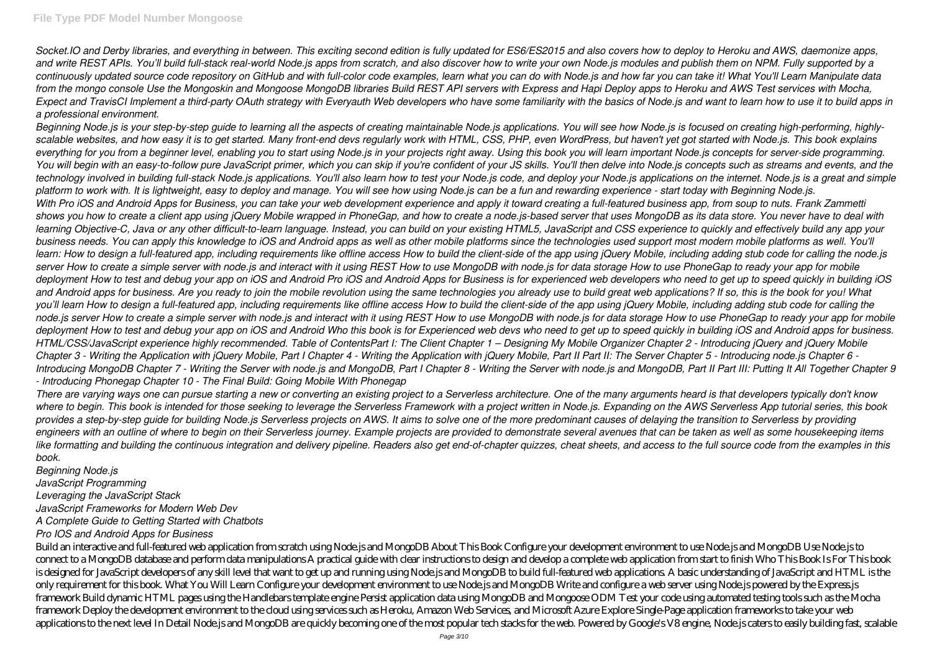*Socket.IO and Derby libraries, and everything in between. This exciting second edition is fully updated for ES6/ES2015 and also covers how to deploy to Heroku and AWS, daemonize apps, and write REST APIs. You'll build full-stack real-world Node.js apps from scratch, and also discover how to write your own Node.js modules and publish them on NPM. Fully supported by a continuously updated source code repository on GitHub and with full-color code examples, learn what you can do with Node.js and how far you can take it! What You'll Learn Manipulate data from the mongo console Use the Mongoskin and Mongoose MongoDB libraries Build REST API servers with Express and Hapi Deploy apps to Heroku and AWS Test services with Mocha, Expect and TravisCI Implement a third-party OAuth strategy with Everyauth Web developers who have some familiarity with the basics of Node.js and want to learn how to use it to build apps in a professional environment.*

Beginning Node is is your step-by-step guide to learning all the aspects of creating maintainable Node is applications. You will see how Node is is focused on creating high-performing, highly*scalable websites, and how easy it is to get started. Many front-end devs regularly work with HTML, CSS, PHP, even WordPress, but haven't yet got started with Node.js. This book explains everything for you from a beginner level, enabling you to start using Node.js in your projects right away. Using this book you will learn important Node.js concepts for server-side programming. You will begin with an easy-to-follow pure JavaScript primer, which you can skip if you're confident of your JS skills. You'll then delve into Node.js concepts such as streams and events, and the technology involved in building full-stack Node.js applications. You'll also learn how to test your Node.js code, and deploy your Node.js applications on the internet. Node.js is a great and simple platform to work with. It is lightweight, easy to deploy and manage. You will see how using Node.js can be a fun and rewarding experience - start today with Beginning Node.js. With Pro iOS and Android Apps for Business, you can take your web development experience and apply it toward creating a full-featured business app, from soup to nuts. Frank Zammetti shows you how to create a client app using jQuery Mobile wrapped in PhoneGap, and how to create a node.js-based server that uses MongoDB as its data store. You never have to deal with learning Objective-C, Java or any other difficult-to-learn language. Instead, you can build on your existing HTML5, JavaScript and CSS experience to quickly and effectively build any app your business needs. You can apply this knowledge to iOS and Android apps as well as other mobile platforms since the technologies used support most modern mobile platforms as well. You'll learn: How to design a full-featured app, including requirements like offline access How to build the client-side of the app using jQuery Mobile, including adding stub code for calling the node.js server How to create a simple server with node.js and interact with it using REST How to use MongoDB with node.js for data storage How to use PhoneGap to ready your app for mobile deployment How to test and debug your app on iOS and Android Pro iOS and Android Apps for Business is for experienced web developers who need to get up to speed quickly in building iOS and Android apps for business. Are you ready to join the mobile revolution using the same technologies you already use to build great web applications? If so, this is the book for you! What* you'll learn How to design a full-featured app, including requirements like offline access How to build the client-side of the app using jQuery Mobile, including adding stub code for calling the *node.js server How to create a simple server with node.js and interact with it using REST How to use MongoDB with node.js for data storage How to use PhoneGap to ready your app for mobile deployment How to test and debug your app on iOS and Android Who this book is for Experienced web devs who need to get up to speed quickly in building iOS and Android apps for business. HTML/CSS/JavaScript experience highly recommended. Table of ContentsPart I: The Client Chapter 1 – Designing My Mobile Organizer Chapter 2 - Introducing jQuery and jQuery Mobile Chapter 3 - Writing the Application with jQuery Mobile, Part I Chapter 4 - Writing the Application with jQuery Mobile, Part II Part II: The Server Chapter 5 - Introducing node.js Chapter 6 - Introducing MongoDB Chapter 7 - Writing the Server with node.js and MongoDB, Part I Chapter 8 - Writing the Server with node.js and MongoDB, Part II Part III: Putting It All Together Chapter 9 - Introducing Phonegap Chapter 10 - The Final Build: Going Mobile With Phonegap*

*There are varying ways one can pursue starting a new or converting an existing project to a Serverless architecture. One of the many arguments heard is that developers typically don't know where to begin. This book is intended for those seeking to leverage the Serverless Framework with a project written in Node.js. Expanding on the AWS Serverless App tutorial series, this book provides a step-by-step guide for building Node.js Serverless projects on AWS. It aims to solve one of the more predominant causes of delaying the transition to Serverless by providing engineers with an outline of where to begin on their Serverless journey. Example projects are provided to demonstrate several avenues that can be taken as well as some housekeeping items like formatting and building the continuous integration and delivery pipeline. Readers also get end-of-chapter quizzes, cheat sheets, and access to the full source code from the examples in this book.*

*Beginning Node.js*

*JavaScript Programming*

*Leveraging the JavaScript Stack*

*JavaScript Frameworks for Modern Web Dev*

*A Complete Guide to Getting Started with Chatbots*

*Pro IOS and Android Apps for Business*

Build an interactive and full-featured web application from scratch using Node.js and MongoDB About This Book Configure your development environment to use Node.js and MongoDB Use Node.js to connect to a MongoDB database and perform data manipulations A practical guide with clear instructions to design and develop a complete web application from start to finish Who This Book Is For This book is designed for JavaScript developers of any skill level that want to get up and running using Node.js and MongoDB to build full-featured web applications. A basic understanding of JavaScript and HTML is the only requirement for this book. What You Will Learn Configure your development environment to use Node.js and MongoDB Write and configure a web server using Node.js powered by the Express.js framework Build dynamic HTML pages using the Handlebars template engine Persist application data using MongoDB and Mongoose ODM Test your code using automated testing tools such as the Mocha framework Deploy the development environment to the cloud using services such as Heroku, Amazon Web Services, and Microsoft Azure Explore Single-Page application frameworks to take your web applications to the next level In Detail Node.js and MongoDB are quickly becoming one of the most popular tech stacks for the web. Powered by Google's V8 engine, Node.js caters to easily building fast, scalable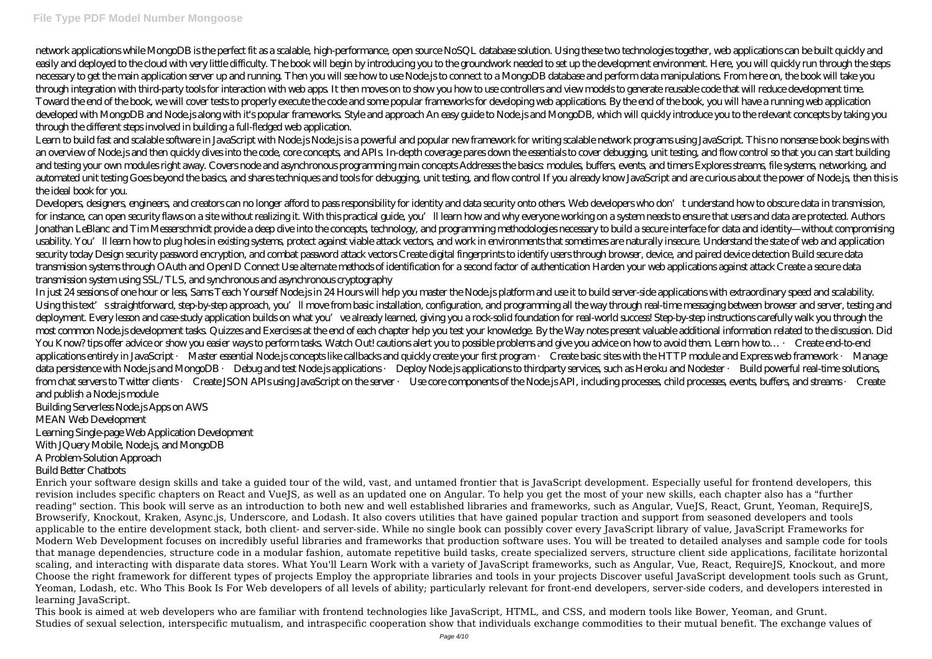## **File Type PDF Model Number Mongoose**

network applications while MongoDB is the perfect fit as a scalable, high-performance, open source NoSQL database solution. Using these two technologies together, web applications can be built quickly and easily and deployed to the cloud with very little difficulty. The book will begin by introducing you to the groundwork needed to set up the development environment. Here, you will quickly run through the steps necessary to get the main application server up and running. Then you will see how to use Node.js to connect to a MongoDB database and perform data manipulations. From here on, the book will take you through integration with third-party tools for interaction with web apps. It then moves on to show you how to use controllers and view models to generate reusable code that will reduce development time. Toward the end of the book, we will cover tests to properly execute the code and some popular frameworks for developing web applications. By the end of the book, you will have a running web application developed with MongoDB and Node.js along with it's popular frameworks. Style and approach An easy guide to Node.js and MongoDB, which will quickly introduce you to the relevant concepts by taking you through the different steps involved in building a full-fledged web application.

In just 24 sessions of one hour or less, Sams Teach Yourself Node.js in 24 Hours will help you master the Node.js platform and use it to build server-side applications with extraordinary speed and scalability. Using this text's straightforward, step-by-step approach, you'll move from basic installation, configuration, and programming all the way through real-time messaging between browser and server, testing and deployment. Every lesson and case-study application builds on what you've already learned, giving you a rock-solid foundation for real-world success! Step-by-step instructions carefully walk you through the most common Node.js development tasks. Quizzes and Exercises at the end of each chapter help you test your knowledge. By the Way notes present valuable additional information related to the discussion. Did You Know? tips offer advice or show you easier ways to perform tasks. Watch Out! cautions alert you to possible problems and give you advice on how to avoid them. Learn how to… · Create end-to-end applications entirely in JavaScript · Master essential Node is concepts like callbacks and quickly create your first program · Create basic sites with the HTTP module and Express web framework · Manage data persistence with Node.js and MongoDB · Debug and test Node.js applications to the individual post and nodester · Build powerful real-time solutions, from chat servers to Twitter clients · Create JSON APIs using JavaScript on the server · Use core components of the Node.js API, including processes, child processes, events, buffers, and streams · Create and publish a Node is module

Learn to build fast and scalable software in JavaScript with Node.js Node.js is a powerful and popular new framework for writing scalable network programs using JavaScript. This no nonsense book begins with an overview of Node.js and then quickly dives into the code, core concepts, and APIs. In-depth coverage pares down the essentials to cover debugging, unit testing, and flow control so that you can start building and testing your own modules right away. Covers node and asynchronous programming main concepts Addresses the basics: modules, buffers, events, and timers Explores streams, file systems, networking, and automated unit testing Goes beyond the basics, and shares techniques and tools for debugging, unit testing, and flow control If you already know JavaScript and are curious about the power of Node.js, then this is the ideal book for you.

Developers, designers, engineers, and creators can no longer afford to pass responsibility for identity and data security onto others. Web developers who don't understand how to obscure data in transmission, for instance, can open security flaws on a site without realizing it. With this practical guide, you'll learn how and why everyone working on a system needs to ensure that users and data are protected. Authors Jonathan LeBlanc and Tim Messerschmidt provide a deep dive into the concepts, technology, and programming methodologies necessary to build a secure interface for data and identity—without compromising usability. You'll learn how to plug holes in existing systems, protect against viable attack vectors, and work in environments that sometimes are naturally insecure. Understand the state of web and application security today Design security password encryption, and combat password attack vectors Create digital fingerprints to identify users through browser, device, and paired device detection Build secure data transmission systems through OAuth and OpenID Connect Use alternate methods of identification for a second factor of authentication Harden your web applications against attack Create a secure data transmission system using SSL/TLS, and synchronous and asynchronous cryptography

Building Serverless Node.js Apps on AWS

MEAN Web Development

Learning Single-page Web Application Development

With JQuery Mobile, Node is, and MongoDB

## A Problem-Solution Approach

## Build Better Chatbots

Enrich your software design skills and take a guided tour of the wild, vast, and untamed frontier that is JavaScript development. Especially useful for frontend developers, this revision includes specific chapters on React and VueJS, as well as an updated one on Angular. To help you get the most of your new skills, each chapter also has a "further reading" section. This book will serve as an introduction to both new and well established libraries and frameworks, such as Angular, VueJS, React, Grunt, Yeoman, RequireJS, Browserify, Knockout, Kraken, Async.js, Underscore, and Lodash. It also covers utilities that have gained popular traction and support from seasoned developers and tools applicable to the entire development stack, both client- and server-side. While no single book can possibly cover every JavaScript library of value, JavaScript Frameworks for Modern Web Development focuses on incredibly useful libraries and frameworks that production software uses. You will be treated to detailed analyses and sample code for tools that manage dependencies, structure code in a modular fashion, automate repetitive build tasks, create specialized servers, structure client side applications, facilitate horizontal scaling, and interacting with disparate data stores. What You'll Learn Work with a variety of JavaScript frameworks, such as Angular, Vue, React, RequireJS, Knockout, and more Choose the right framework for different types of projects Employ the appropriate libraries and tools in your projects Discover useful JavaScript development tools such as Grunt, Yeoman, Lodash, etc. Who This Book Is For Web developers of all levels of ability; particularly relevant for front-end developers, server-side coders, and developers interested in learning JavaScript.

This book is aimed at web developers who are familiar with frontend technologies like JavaScript, HTML, and CSS, and modern tools like Bower, Yeoman, and Grunt. Studies of sexual selection, interspecific mutualism, and intraspecific cooperation show that individuals exchange commodities to their mutual benefit. The exchange values of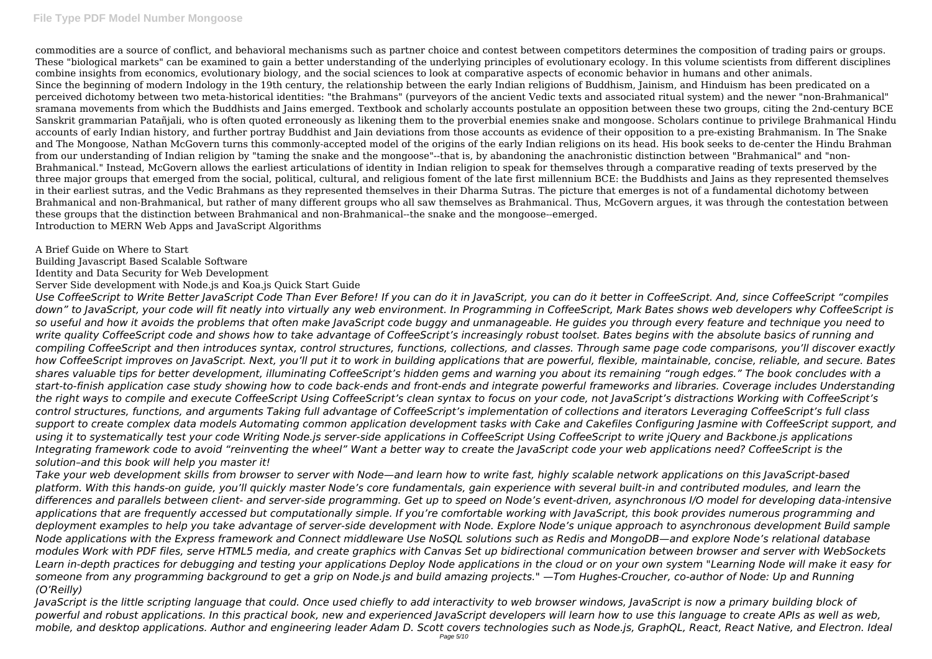commodities are a source of conflict, and behavioral mechanisms such as partner choice and contest between competitors determines the composition of trading pairs or groups. These "biological markets" can be examined to gain a better understanding of the underlying principles of evolutionary ecology. In this volume scientists from different disciplines combine insights from economics, evolutionary biology, and the social sciences to look at comparative aspects of economic behavior in humans and other animals. Since the beginning of modern Indology in the 19th century, the relationship between the early Indian religions of Buddhism, Jainism, and Hinduism has been predicated on a perceived dichotomy between two meta-historical identities: "the Brahmans" (purveyors of the ancient Vedic texts and associated ritual system) and the newer "non-Brahmanical" sramana movements from which the Buddhists and Jains emerged. Textbook and scholarly accounts postulate an opposition between these two groups, citing the 2nd-century BCE Sanskrit grammarian Patañjali, who is often quoted erroneously as likening them to the proverbial enemies snake and mongoose. Scholars continue to privilege Brahmanical Hindu accounts of early Indian history, and further portray Buddhist and Jain deviations from those accounts as evidence of their opposition to a pre-existing Brahmanism. In The Snake and The Mongoose, Nathan McGovern turns this commonly-accepted model of the origins of the early Indian religions on its head. His book seeks to de-center the Hindu Brahman from our understanding of Indian religion by "taming the snake and the mongoose"--that is, by abandoning the anachronistic distinction between "Brahmanical" and "non-Brahmanical." Instead, McGovern allows the earliest articulations of identity in Indian religion to speak for themselves through a comparative reading of texts preserved by the three major groups that emerged from the social, political, cultural, and religious foment of the late first millennium BCE: the Buddhists and Jains as they represented themselves in their earliest sutras, and the Vedic Brahmans as they represented themselves in their Dharma Sutras. The picture that emerges is not of a fundamental dichotomy between Brahmanical and non-Brahmanical, but rather of many different groups who all saw themselves as Brahmanical. Thus, McGovern argues, it was through the contestation between these groups that the distinction between Brahmanical and non-Brahmanical--the snake and the mongoose--emerged. Introduction to MERN Web Apps and JavaScript Algorithms

A Brief Guide on Where to Start

Building Javascript Based Scalable Software

Identity and Data Security for Web Development

Server Side development with Node.js and Koa.js Quick Start Guide

*Use CoffeeScript to Write Better JavaScript Code Than Ever Before! If you can do it in JavaScript, you can do it better in CoffeeScript. And, since CoffeeScript "compiles down" to JavaScript, your code will fit neatly into virtually any web environment. In Programming in CoffeeScript, Mark Bates shows web developers why CoffeeScript is so useful and how it avoids the problems that often make JavaScript code buggy and unmanageable. He guides you through every feature and technique you need to write quality CoffeeScript code and shows how to take advantage of CoffeeScript's increasingly robust toolset. Bates begins with the absolute basics of running and compiling CoffeeScript and then introduces syntax, control structures, functions, collections, and classes. Through same page code comparisons, you'll discover exactly how CoffeeScript improves on JavaScript. Next, you'll put it to work in building applications that are powerful, flexible, maintainable, concise, reliable, and secure. Bates shares valuable tips for better development, illuminating CoffeeScript's hidden gems and warning you about its remaining "rough edges." The book concludes with a start-to-finish application case study showing how to code back-ends and front-ends and integrate powerful frameworks and libraries. Coverage includes Understanding the right ways to compile and execute CoffeeScript Using CoffeeScript's clean syntax to focus on your code, not JavaScript's distractions Working with CoffeeScript's control structures, functions, and arguments Taking full advantage of CoffeeScript's implementation of collections and iterators Leveraging CoffeeScript's full class support to create complex data models Automating common application development tasks with Cake and Cakefiles Configuring Jasmine with CoffeeScript support, and using it to systematically test your code Writing Node.js server-side applications in CoffeeScript Using CoffeeScript to write jQuery and Backbone.js applications Integrating framework code to avoid "reinventing the wheel" Want a better way to create the JavaScript code your web applications need? CoffeeScript is the solution–and this book will help you master it!*

*Take your web development skills from browser to server with Node—and learn how to write fast, highly scalable network applications on this JavaScript-based platform. With this hands-on guide, you'll quickly master Node's core fundamentals, gain experience with several built-in and contributed modules, and learn the differences and parallels between client- and server-side programming. Get up to speed on Node's event-driven, asynchronous I/O model for developing data-intensive applications that are frequently accessed but computationally simple. If you're comfortable working with JavaScript, this book provides numerous programming and deployment examples to help you take advantage of server-side development with Node. Explore Node's unique approach to asynchronous development Build sample Node applications with the Express framework and Connect middleware Use NoSQL solutions such as Redis and MongoDB—and explore Node's relational database modules Work with PDF files, serve HTML5 media, and create graphics with Canvas Set up bidirectional communication between browser and server with WebSockets Learn in-depth practices for debugging and testing your applications Deploy Node applications in the cloud or on your own system "Learning Node will make it easy for someone from any programming background to get a grip on Node.js and build amazing projects." —Tom Hughes-Croucher, co-author of Node: Up and Running (O'Reilly)*

*JavaScript is the little scripting language that could. Once used chiefly to add interactivity to web browser windows, JavaScript is now a primary building block of powerful and robust applications. In this practical book, new and experienced JavaScript developers will learn how to use this language to create APIs as well as web, mobile, and desktop applications. Author and engineering leader Adam D. Scott covers technologies such as Node.js, GraphQL, React, React Native, and Electron. Ideal*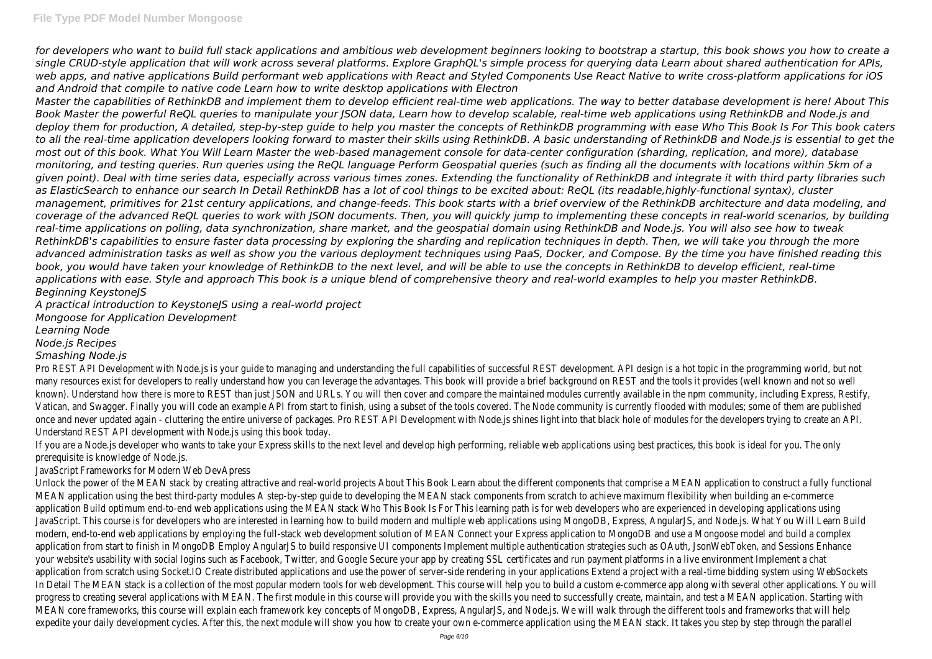*for developers who want to build full stack applications and ambitious web development beginners looking to bootstrap a startup, this book shows you how to create a single CRUD-style application that will work across several platforms. Explore GraphQL's simple process for querying data Learn about shared authentication for APIs, web apps, and native applications Build performant web applications with React and Styled Components Use React Native to write cross-platform applications for iOS and Android that compile to native code Learn how to write desktop applications with Electron*

*Master the capabilities of RethinkDB and implement them to develop efficient real-time web applications. The way to better database development is here! About This Book Master the powerful ReQL queries to manipulate your JSON data, Learn how to develop scalable, real-time web applications using RethinkDB and Node.js and deploy them for production, A detailed, step-by-step guide to help you master the concepts of RethinkDB programming with ease Who This Book Is For This book caters to all the real-time application developers looking forward to master their skills using RethinkDB. A basic understanding of RethinkDB and Node.js is essential to get the most out of this book. What You Will Learn Master the web-based management console for data-center configuration (sharding, replication, and more), database monitoring, and testing queries. Run queries using the ReQL language Perform Geospatial queries (such as finding all the documents with locations within 5km of a given point). Deal with time series data, especially across various times zones. Extending the functionality of RethinkDB and integrate it with third party libraries such as ElasticSearch to enhance our search In Detail RethinkDB has a lot of cool things to be excited about: ReQL (its readable,highly-functional syntax), cluster management, primitives for 21st century applications, and change-feeds. This book starts with a brief overview of the RethinkDB architecture and data modeling, and coverage of the advanced ReQL queries to work with JSON documents. Then, you will quickly jump to implementing these concepts in real-world scenarios, by building real-time applications on polling, data synchronization, share market, and the geospatial domain using RethinkDB and Node.js. You will also see how to tweak RethinkDB's capabilities to ensure faster data processing by exploring the sharding and replication techniques in depth. Then, we will take you through the more advanced administration tasks as well as show you the various deployment techniques using PaaS, Docker, and Compose. By the time you have finished reading this book, you would have taken your knowledge of RethinkDB to the next level, and will be able to use the concepts in RethinkDB to develop efficient, real-time applications with ease. Style and approach This book is a unique blend of comprehensive theory and real-world examples to help you master RethinkDB. Beginning KeystoneJS*

Pro REST API Development with Node.js is your quide to managing and understanding the full capabilities of successful REST development. API design is a hot topic in the programming world, but not not not not not not not no many resources exist for developers to really understand how you can leverage the advantages. This book will provide a brief background on REST and the tools it provides (well known and not known). Understand how there is more to REST than just JSON and URLs. You will then cover and compare the maintained modules currently available in the npm community, including Express, I Vatican, and Swagger. Finally you will code an example API from start to finish, using a subset of the tools covered. The Node community is currently flooded with modules; some of them are pu once and never updated again - cluttering the entire universe of packages. Pro REST API Development with Node.js shines light into that black hole of modules for the developers trying to creat Understand REST API development with Node.js using this book today.

If you are a Node.js developer who wants to take your Express skills to the next level and develop high performing, reliable web applications using best practices, this book is ideal for you. The only only to prerequisite is knowledge of Node.js.

*A practical introduction to KeystoneJS using a real-world project*

*Mongoose for Application Development*

*Learning Node*

*Node.js Recipes*

## *Smashing Node.js*

## JavaScript Frameworks for Modern Web DevApress

Unlock the power of the MEAN stack by creating attractive and real-world projects About This Book Learn about the different components that comprise a MEAN application to construct a full MEAN application using the best third-party modules A step-by-step guide to developing the MEAN stack components from scratch to achieve maximum flexibility when building an e-commerce application Build optimum end-to-end web applications using the MEAN stack Who This Book Is For This learning path is for web developers who are experienced in developing applications using JavaScript. This course is for developers who are interested in learning how to build modern and multiple web applications using MongoDB, Express, AngularJS, and Node.js. What You Will Learn modern, end-to-end web applications by employing the full-stack web development solution of MEAN Connect your Express application to MongoDB and use a Mongoose model and build a comp application from start to finish in MongoDB Employ AngularJS to build responsive UI components Implement multiple authentication strategies such as OAuth, JsonWebToken, and Sessions Enhan your website's usability with social logins such as Facebook, Twitter, and Google Secure your app by creating SSL certificates and run payment platforms in a live environment Implement a chat application from scratch using Socket.IO Create distributed applications and use the power of server-side rendering in your applications Extend a project with a real-time bidding system using V In Detail The MEAN stack is a collection of the most popular modern tools for web development. This course will help you to build a custom e-commerce app along with several other application progress to creating several applications with MEAN. The first module in this course will provide you with the skills you need to successfully create, maintain, and test a MEAN application. Start MEAN core frameworks, this course will explain each framework key concepts of MongoDB, Express, AngularJS, and Node.js. We will walk through the different tools and frameworks that will he expedite your daily development cycles. After this, the next module will show you how to create your own e-commerce application using the MEAN stack. It takes you step by step through the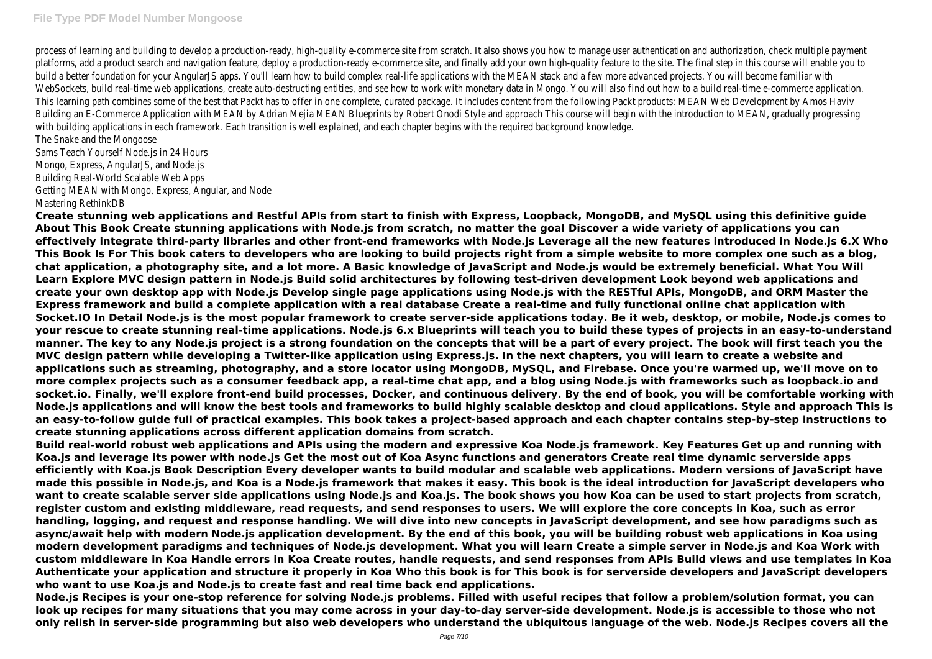process of learning and building to develop a production-ready, high-quality e-commerce site from scratch. It also shows you how to manage user authentication and authorization, check multip platforms, add a product search and navigation feature, deploy a production-ready e-commerce site, and finally add your own high-quality feature to the site. The final step in this course will er build a better foundation for your AngularJS apps. You'll learn how to build complex real-life applications with the MEAN stack and a few more advanced projects. You will become familiar with WebSockets, build real-time web applications, create auto-destructing entities, and see how to work with monetary data in Mongo. You will also find out how to a build real-time e-commerce a This learning path combines some of the best that Packt has to offer in one complete, curated package. It includes content from the following Packt products: MEAN Web Development by Amo Building an E-Commerce Application with MEAN by Adrian Mejia MEAN Blueprints by Robert Onodi Style and approach This course will begin with the introduction to MEAN, gradually progressing with building applications in each framework. Each transition is well explained, and each chapter begins with the required background knowledge. The Snake and the Mongoose

Sams Teach Yourself Node.js in 24 Hours Mongo, Express, AngularJS, and Node.js Building Real-World Scalable Web Apps Getting MEAN with Mongo, Express, Angular, and Node Mastering RethinkDB

**Create stunning web applications and Restful APIs from start to finish with Express, Loopback, MongoDB, and MySQL using this definitive guide About This Book Create stunning applications with Node.js from scratch, no matter the goal Discover a wide variety of applications you can effectively integrate third-party libraries and other front-end frameworks with Node.js Leverage all the new features introduced in Node.js 6.X Who This Book Is For This book caters to developers who are looking to build projects right from a simple website to more complex one such as a blog, chat application, a photography site, and a lot more. A Basic knowledge of JavaScript and Node.js would be extremely beneficial. What You Will Learn Explore MVC design pattern in Node.js Build solid architectures by following test-driven development Look beyond web applications and create your own desktop app with Node.js Develop single page applications using Node.js with the RESTful APIs, MongoDB, and ORM Master the Express framework and build a complete application with a real database Create a real-time and fully functional online chat application with Socket.IO In Detail Node.js is the most popular framework to create server-side applications today. Be it web, desktop, or mobile, Node.js comes to your rescue to create stunning real-time applications. Node.js 6.x Blueprints will teach you to build these types of projects in an easy-to-understand manner. The key to any Node.js project is a strong foundation on the concepts that will be a part of every project. The book will first teach you the MVC design pattern while developing a Twitter-like application using Express.js. In the next chapters, you will learn to create a website and applications such as streaming, photography, and a store locator using MongoDB, MySQL, and Firebase. Once you're warmed up, we'll move on to more complex projects such as a consumer feedback app, a real-time chat app, and a blog using Node.js with frameworks such as loopback.io and socket.io. Finally, we'll explore front-end build processes, Docker, and continuous delivery. By the end of book, you will be comfortable working with Node.js applications and will know the best tools and frameworks to build highly scalable desktop and cloud applications. Style and approach This is an easy-to-follow guide full of practical examples. This book takes a project-based approach and each chapter contains step-by-step instructions to create stunning applications across different application domains from scratch.**

**Build real-world robust web applications and APIs using the modern and expressive Koa Node.js framework. Key Features Get up and running with Koa.js and leverage its power with node.js Get the most out of Koa Async functions and generators Create real time dynamic serverside apps efficiently with Koa.js Book Description Every developer wants to build modular and scalable web applications. Modern versions of JavaScript have made this possible in Node.js, and Koa is a Node.js framework that makes it easy. This book is the ideal introduction for JavaScript developers who want to create scalable server side applications using Node.js and Koa.js. The book shows you how Koa can be used to start projects from scratch, register custom and existing middleware, read requests, and send responses to users. We will explore the core concepts in Koa, such as error handling, logging, and request and response handling. We will dive into new concepts in JavaScript development, and see how paradigms such as async/await help with modern Node.js application development. By the end of this book, you will be building robust web applications in Koa using modern development paradigms and techniques of Node.js development. What you will learn Create a simple server in Node.js and Koa Work with custom middleware in Koa Handle errors in Koa Create routes, handle requests, and send responses from APIs Build views and use templates in Koa Authenticate your application and structure it properly in Koa Who this book is for This book is for serverside developers and JavaScript developers who want to use Koa.js and Node.js to create fast and real time back end applications.**

**Node.js Recipes is your one-stop reference for solving Node.js problems. Filled with useful recipes that follow a problem/solution format, you can look up recipes for many situations that you may come across in your day-to-day server-side development. Node.js is accessible to those who not only relish in server-side programming but also web developers who understand the ubiquitous language of the web. Node.js Recipes covers all the**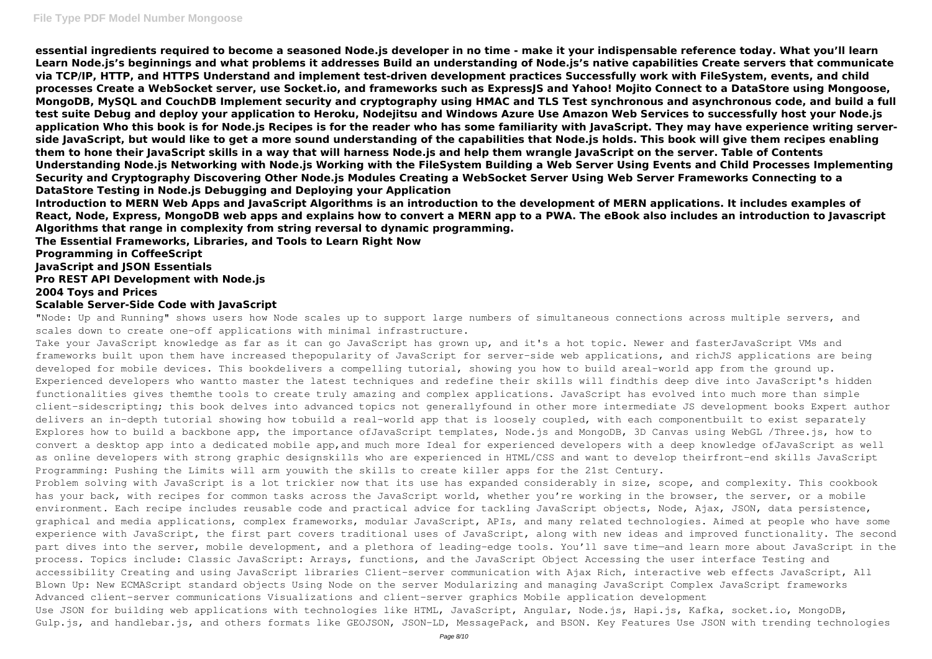**essential ingredients required to become a seasoned Node.js developer in no time - make it your indispensable reference today. What you'll learn Learn Node.js's beginnings and what problems it addresses Build an understanding of Node.js's native capabilities Create servers that communicate via TCP/IP, HTTP, and HTTPS Understand and implement test-driven development practices Successfully work with FileSystem, events, and child processes Create a WebSocket server, use Socket.io, and frameworks such as ExpressJS and Yahoo! Mojito Connect to a DataStore using Mongoose, MongoDB, MySQL and CouchDB Implement security and cryptography using HMAC and TLS Test synchronous and asynchronous code, and build a full test suite Debug and deploy your application to Heroku, Nodejitsu and Windows Azure Use Amazon Web Services to successfully host your Node.js application Who this book is for Node.js Recipes is for the reader who has some familiarity with JavaScript. They may have experience writing serverside JavaScript, but would like to get a more sound understanding of the capabilities that Node.js holds. This book will give them recipes enabling them to hone their JavaScript skills in a way that will harness Node.js and help them wrangle JavaScript on the server. Table of Contents Understanding Node.js Networking with Node.js Working with the FileSystem Building a Web Server Using Events and Child Processes Implementing Security and Cryptography Discovering Other Node.js Modules Creating a WebSocket Server Using Web Server Frameworks Connecting to a DataStore Testing in Node.js Debugging and Deploying your Application**

**Introduction to MERN Web Apps and JavaScript Algorithms is an introduction to the development of MERN applications. It includes examples of React, Node, Express, MongoDB web apps and explains how to convert a MERN app to a PWA. The eBook also includes an introduction to Javascript Algorithms that range in complexity from string reversal to dynamic programming.**

Problem solving with JavaScript is a lot trickier now that its use has expanded considerably in size, scope, and complexity. This cookbook has your back, with recipes for common tasks across the JavaScript world, whether you're working in the browser, the server, or a mobile environment. Each recipe includes reusable code and practical advice for tackling JavaScript objects, Node, Ajax, JSON, data persistence, graphical and media applications, complex frameworks, modular JavaScript, APIs, and many related technologies. Aimed at people who have some experience with JavaScript, the first part covers traditional uses of JavaScript, along with new ideas and improved functionality. The second part dives into the server, mobile development, and a plethora of leading-edge tools. You'll save time—and learn more about JavaScript in the process. Topics include: Classic JavaScript: Arrays, functions, and the JavaScript Object Accessing the user interface Testing and accessibility Creating and using JavaScript libraries Client-server communication with Ajax Rich, interactive web effects JavaScript, All Blown Up: New ECMAScript standard objects Using Node on the server Modularizing and managing JavaScript Complex JavaScript frameworks Advanced client-server communications Visualizations and client-server graphics Mobile application development Use JSON for building web applications with technologies like HTML, JavaScript, Angular, Node.js, Hapi.js, Kafka, socket.io, MongoDB, Gulp.js, and handlebar.js, and others formats like GEOJSON, JSON-LD, MessagePack, and BSON. Key Features Use JSON with trending technologies

**The Essential Frameworks, Libraries, and Tools to Learn Right Now**

**Programming in CoffeeScript**

**JavaScript and JSON Essentials**

**Pro REST API Development with Node.js**

**2004 Toys and Prices**

#### **Scalable Server-Side Code with JavaScript**

"Node: Up and Running" shows users how Node scales up to support large numbers of simultaneous connections across multiple servers, and scales down to create one-off applications with minimal infrastructure.

Take your JavaScript knowledge as far as it can go JavaScript has grown up, and it's a hot topic. Newer and fasterJavaScript VMs and frameworks built upon them have increased thepopularity of JavaScript for server-side web applications, and richJS applications are being developed for mobile devices. This bookdelivers a compelling tutorial, showing you how to build areal-world app from the ground up. Experienced developers who wantto master the latest techniques and redefine their skills will findthis deep dive into JavaScript's hidden functionalities gives themthe tools to create truly amazing and complex applications. JavaScript has evolved into much more than simple client-sidescripting; this book delves into advanced topics not generallyfound in other more intermediate JS development books Expert author delivers an in-depth tutorial showing how tobuild a real-world app that is loosely coupled, with each componentbuilt to exist separately Explores how to build a backbone app, the importance ofJavaScript templates, Node.js and MongoDB, 3D Canvas using WebGL /Three.js, how to convert a desktop app into a dedicated mobile app,and much more Ideal for experienced developers with a deep knowledge ofJavaScript as well as online developers with strong graphic designskills who are experienced in HTML/CSS and want to develop theirfront-end skills JavaScript Programming: Pushing the Limits will arm youwith the skills to create killer apps for the 21st Century.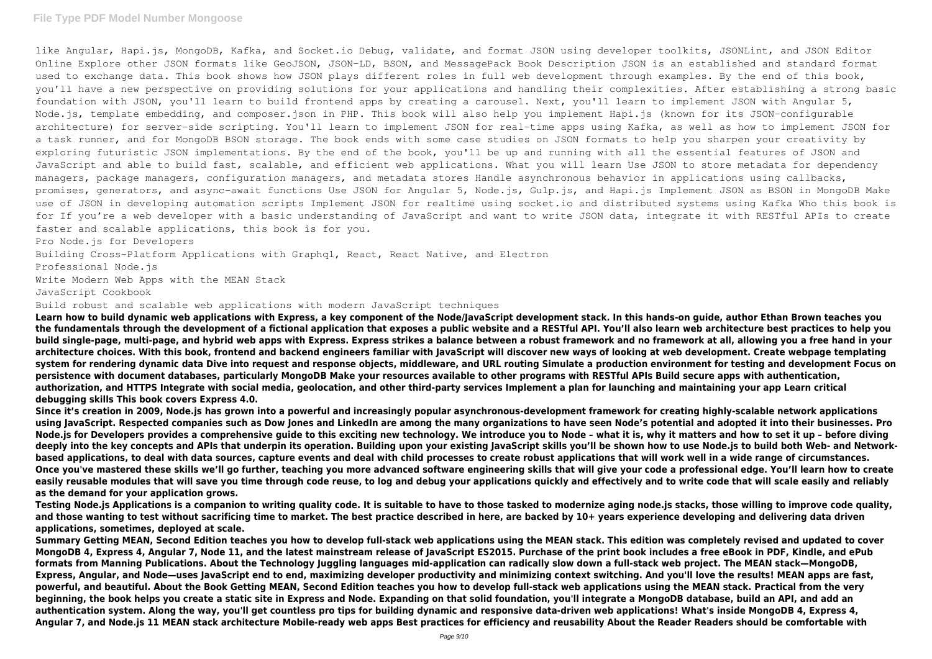#### **File Type PDF Model Number Mongoose**

like Angular, Hapi.js, MongoDB, Kafka, and Socket.io Debug, validate, and format JSON using developer toolkits, JSONLint, and JSON Editor Online Explore other JSON formats like GeoJSON, JSON-LD, BSON, and MessagePack Book Description JSON is an established and standard format used to exchange data. This book shows how JSON plays different roles in full web development through examples. By the end of this book, you'll have a new perspective on providing solutions for your applications and handling their complexities. After establishing a strong basic foundation with JSON, you'll learn to build frontend apps by creating a carousel. Next, you'll learn to implement JSON with Angular 5, Node.js, template embedding, and composer.json in PHP. This book will also help you implement Hapi.js (known for its JSON-configurable architecture) for server-side scripting. You'll learn to implement JSON for real-time apps using Kafka, as well as how to implement JSON for a task runner, and for MongoDB BSON storage. The book ends with some case studies on JSON formats to help you sharpen your creativity by exploring futuristic JSON implementations. By the end of the book, you'll be up and running with all the essential features of JSON and JavaScript and able to build fast, scalable, and efficient web applications. What you will learn Use JSON to store metadata for dependency managers, package managers, configuration managers, and metadata stores Handle asynchronous behavior in applications using callbacks, promises, generators, and async-await functions Use JSON for Angular 5, Node.js, Gulp.js, and Hapi.js Implement JSON as BSON in MongoDB Make use of JSON in developing automation scripts Implement JSON for realtime using socket.io and distributed systems using Kafka Who this book is for If you're a web developer with a basic understanding of JavaScript and want to write JSON data, integrate it with RESTful APIs to create faster and scalable applications, this book is for you.

Pro Node. is for Developers

Building Cross-Platform Applications with Graphql, React, React Native, and Electron

Professional Node.js

Write Modern Web Apps with the MEAN Stack

JavaScript Cookbook

Build robust and scalable web applications with modern JavaScript techniques

**Learn how to build dynamic web applications with Express, a key component of the Node/JavaScript development stack. In this hands-on guide, author Ethan Brown teaches you the fundamentals through the development of a fictional application that exposes a public website and a RESTful API. You'll also learn web architecture best practices to help you build single-page, multi-page, and hybrid web apps with Express. Express strikes a balance between a robust framework and no framework at all, allowing you a free hand in your architecture choices. With this book, frontend and backend engineers familiar with JavaScript will discover new ways of looking at web development. Create webpage templating system for rendering dynamic data Dive into request and response objects, middleware, and URL routing Simulate a production environment for testing and development Focus on persistence with document databases, particularly MongoDB Make your resources available to other programs with RESTful APIs Build secure apps with authentication, authorization, and HTTPS Integrate with social media, geolocation, and other third-party services Implement a plan for launching and maintaining your app Learn critical debugging skills This book covers Express 4.0.**

**Since it's creation in 2009, Node.js has grown into a powerful and increasingly popular asynchronous-development framework for creating highly-scalable network applications using JavaScript. Respected companies such as Dow Jones and LinkedIn are among the many organizations to have seen Node's potential and adopted it into their businesses. Pro Node.js for Developers provides a comprehensive guide to this exciting new technology. We introduce you to Node – what it is, why it matters and how to set it up – before diving deeply into the key concepts and APIs that underpin its operation. Building upon your existing JavaScript skills you'll be shown how to use Node.js to build both Web- and Networkbased applications, to deal with data sources, capture events and deal with child processes to create robust applications that will work well in a wide range of circumstances. Once you've mastered these skills we'll go further, teaching you more advanced software engineering skills that will give your code a professional edge. You'll learn how to create easily reusable modules that will save you time through code reuse, to log and debug your applications quickly and effectively and to write code that will scale easily and reliably as the demand for your application grows.**

**Testing Node.js Applications is a companion to writing quality code. It is suitable to have to those tasked to modernize aging node.js stacks, those willing to improve code quality, and those wanting to test without sacrificing time to market. The best practice described in here, are backed by 10+ years experience developing and delivering data driven applications, sometimes, deployed at scale.**

**Summary Getting MEAN, Second Edition teaches you how to develop full-stack web applications using the MEAN stack. This edition was completely revised and updated to cover MongoDB 4, Express 4, Angular 7, Node 11, and the latest mainstream release of JavaScript ES2015. Purchase of the print book includes a free eBook in PDF, Kindle, and ePub formats from Manning Publications. About the Technology Juggling languages mid-application can radically slow down a full-stack web project. The MEAN stack—MongoDB, Express, Angular, and Node—uses JavaScript end to end, maximizing developer productivity and minimizing context switching. And you'll love the results! MEAN apps are fast, powerful, and beautiful. About the Book Getting MEAN, Second Edition teaches you how to develop full-stack web applications using the MEAN stack. Practical from the very beginning, the book helps you create a static site in Express and Node. Expanding on that solid foundation, you'll integrate a MongoDB database, build an API, and add an authentication system. Along the way, you'll get countless pro tips for building dynamic and responsive data-driven web applications! What's inside MongoDB 4, Express 4, Angular 7, and Node.js 11 MEAN stack architecture Mobile-ready web apps Best practices for efficiency and reusability About the Reader Readers should be comfortable with**